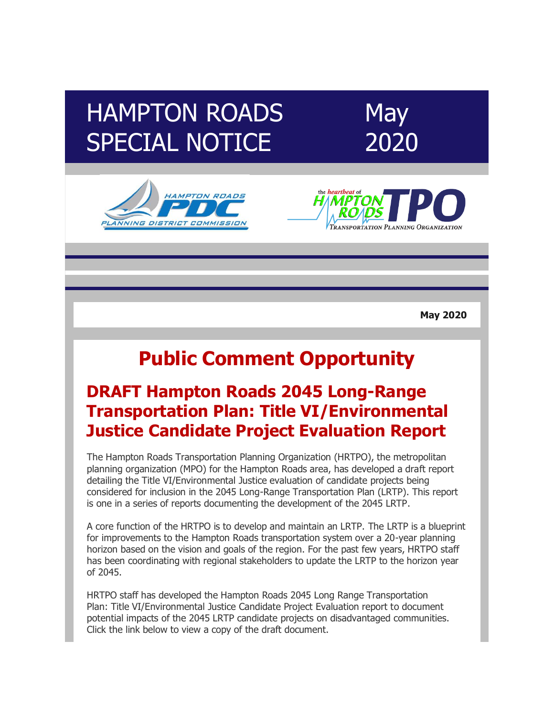# HAMPTON ROADS SPECIAL NOTICE







**May 2020**

# **Public Comment Opportunity**

### **DRAFT Hampton Roads 2045 Long-Range Transportation Plan: Title VI/Environmental Justice Candidate Project Evaluation Report**

The Hampton Roads Transportation Planning Organization (HRTPO), the metropolitan planning organization (MPO) for the Hampton Roads area, has developed a draft report detailing the Title VI/Environmental Justice evaluation of candidate projects being considered for inclusion in the 2045 Long-Range Transportation Plan (LRTP). This report is one in a series of reports documenting the development of the 2045 LRTP.

A core function of the HRTPO is to develop and maintain an LRTP. The LRTP is a blueprint for improvements to the Hampton Roads transportation system over a 20-year planning horizon based on the vision and goals of the region. For the past few years, HRTPO staff has been coordinating with regional stakeholders to update the LRTP to the horizon year of 2045.

HRTPO staff has developed the Hampton Roads 2045 Long Range Transportation Plan: Title VI/Environmental Justice Candidate Project Evaluation report to document potential impacts of the 2045 LRTP candidate projects on disadvantaged communities. Click the link below to view a copy of the draft document.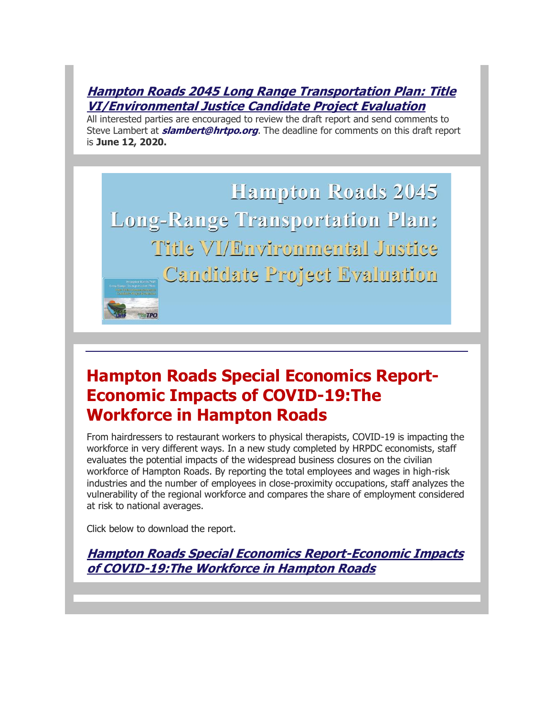#### **[Hampton Roads 2045 Long Range Transportation Plan:](http://r20.rs6.net/tn.jsp?f=001S5oooqWUg6-t6a8lYcDLJIhGCIlWfxIO85agOEiZ0ZORMNR4kng9wrLBG63GJZQFcwIXQsI7s4ZwhKiUL-W3wDEmvP0ZeGTAPrsG0Bdge_MsQdJGADqJx40h3zH-ftDBSUV89WjExlcpaPe0YHU_rdpPfkTU1JvEtf9D-Fr8KmtxVr5w9MNZ5JfiujvzrPZynUkNa_H8k0UbkOb_-NuKYYFnfOGY6FIeUa3JrkOa1lk=&c=hZZq6M82DlltwUVQv1WKdRQdQLqpVba4kz6rUnmTzm8t_CbKFKyCIQ==&ch=ri54VxJSr3dwIxqvLoJHRu7CGWfwWs5bMFxYLaHLRpRHIOe0owh34A==) Title [VI/Environmental Justice Candidate Project Evaluation](http://r20.rs6.net/tn.jsp?f=001S5oooqWUg6-t6a8lYcDLJIhGCIlWfxIO85agOEiZ0ZORMNR4kng9wrLBG63GJZQFcwIXQsI7s4ZwhKiUL-W3wDEmvP0ZeGTAPrsG0Bdge_MsQdJGADqJx40h3zH-ftDBSUV89WjExlcpaPe0YHU_rdpPfkTU1JvEtf9D-Fr8KmtxVr5w9MNZ5JfiujvzrPZynUkNa_H8k0UbkOb_-NuKYYFnfOGY6FIeUa3JrkOa1lk=&c=hZZq6M82DlltwUVQv1WKdRQdQLqpVba4kz6rUnmTzm8t_CbKFKyCIQ==&ch=ri54VxJSr3dwIxqvLoJHRu7CGWfwWs5bMFxYLaHLRpRHIOe0owh34A==)**

All interested parties are encouraged to review the draft report and send comments to Steve Lambert at **slambert@hrtpo.org**. The deadline for comments on this draft report is **June 12, 2020.**

Hampton Roads 2045 **Long-Range Transportation Plan:** Title VI/Environmental Justice Candidate Project Evaluation

## **[Hampton Roads Special Economics Report-](http://r20.rs6.net/tn.jsp?f=001S5oooqWUg6-t6a8lYcDLJIhGCIlWfxIO85agOEiZ0ZORMNR4kng9wnPMMmFZXV7Up_ei7rcAmVcktVMofjCTw5zE2oFnEe-V26j6z7krQKTUEQvpyHB3oBsadRxzGquyiZ1M5NQrTV7_J_iKPrvHNmGkY7_AzKOhZI70u0a-D7Flfr1-P6Ft2mKsRyBUPbz14mnprPXcL2E=&c=hZZq6M82DlltwUVQv1WKdRQdQLqpVba4kz6rUnmTzm8t_CbKFKyCIQ==&ch=ri54VxJSr3dwIxqvLoJHRu7CGWfwWs5bMFxYLaHLRpRHIOe0owh34A==)Economic Impacts of COVID-19:The Workforce in Hampton Roads**

From hairdressers to restaurant workers to physical therapists, COVID-19 is impacting the workforce in very different ways. In a new study completed by HRPDC economists, staff evaluates the potential impacts of the widespread business closures on the civilian workforce of Hampton Roads. By reporting the total employees and wages in high-risk industries and the number of employees in close-proximity occupations, staff analyzes the vulnerability of the regional workforce and compares the share of employment considered at risk to national averages.

Click below to download the report.

**[Hampton Roads Special Economics Report-Economic Impacts](http://r20.rs6.net/tn.jsp?f=001S5oooqWUg6-t6a8lYcDLJIhGCIlWfxIO85agOEiZ0ZORMNR4kng9wrLBG63GJZQFCbqOElwwfG21bhtQzqdQC3rkBcbHvQ-sOQyKFoNlelFs-kd5UXoIxiDqwJlFpRJ2HBMJO6MqFISOZ57ENGVhX-cCNioz4QBOCbpSLiy-DrisqjBzsoKTkjlO2XYMsFps2le3loXQYmNeKGug2aMBMEQdlw6PCvC1zNqtfQGAqmoz-0B_b0GwJvKe8uqKTcPS&c=hZZq6M82DlltwUVQv1WKdRQdQLqpVba4kz6rUnmTzm8t_CbKFKyCIQ==&ch=ri54VxJSr3dwIxqvLoJHRu7CGWfwWs5bMFxYLaHLRpRHIOe0owh34A==)  [of COVID-19:The Workforce in Hampton Roads](http://r20.rs6.net/tn.jsp?f=001S5oooqWUg6-t6a8lYcDLJIhGCIlWfxIO85agOEiZ0ZORMNR4kng9wrLBG63GJZQFCbqOElwwfG21bhtQzqdQC3rkBcbHvQ-sOQyKFoNlelFs-kd5UXoIxiDqwJlFpRJ2HBMJO6MqFISOZ57ENGVhX-cCNioz4QBOCbpSLiy-DrisqjBzsoKTkjlO2XYMsFps2le3loXQYmNeKGug2aMBMEQdlw6PCvC1zNqtfQGAqmoz-0B_b0GwJvKe8uqKTcPS&c=hZZq6M82DlltwUVQv1WKdRQdQLqpVba4kz6rUnmTzm8t_CbKFKyCIQ==&ch=ri54VxJSr3dwIxqvLoJHRu7CGWfwWs5bMFxYLaHLRpRHIOe0owh34A==)**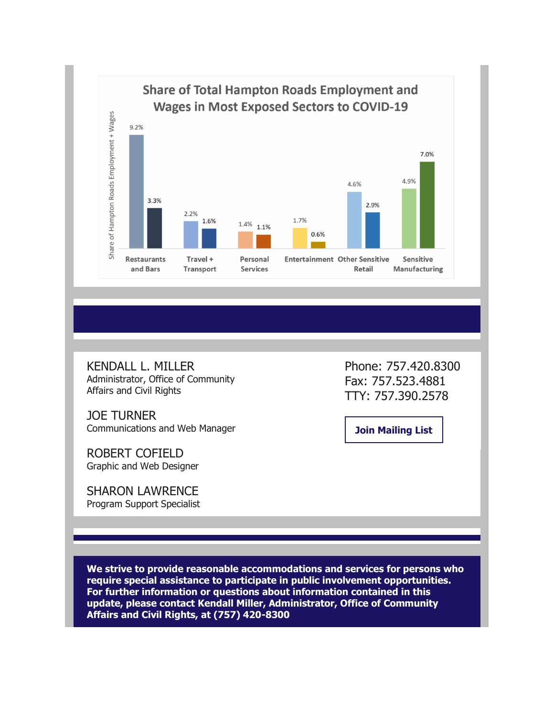

KENDALL L. MILLER Administrator, Office of Community Affairs and Civil Rights

JOE TURNER Communications and Web Manager

ROBERT COFIELD Graphic and Web Designer

SHARON LAWRENCE Program Support Specialist Phone: 757.420.8300 Fax: 757.523.4881 TTY: 757.390.2578

**[Join Mailing List](http://r20.rs6.net/tn.jsp?f=001S5oooqWUg6-t6a8lYcDLJIhGCIlWfxIO85agOEiZ0ZORMNR4kng9wgNCm0rLIU5T4W9jLTZu0basA6QI5-3tvPuf5qrIEtCZwfCgLoA08amPtEOeZSFp_9wwlKV5-zwdhNf5ODRsIMtkW-hTgpz5TxoWsOWZBtzrsGe_T7D9UIbaYtqqLSYqhwsNztNSdvzlDQ761zx1EJ9_GwzelKQpHlac_NZb79y-DXOjOS5GpbbH5Pl43PuzzzZ5X70BafMi-Y4almccdW18y1f6kwPW15gsAf-RegmQmjR3CklC71i7NPygt2yRbR7FPH8m57f3&c=hZZq6M82DlltwUVQv1WKdRQdQLqpVba4kz6rUnmTzm8t_CbKFKyCIQ==&ch=ri54VxJSr3dwIxqvLoJHRu7CGWfwWs5bMFxYLaHLRpRHIOe0owh34A==)**

**We strive to provide reasonable accommodations and services for persons who require special assistance to participate in public involvement opportunities. For further information or questions about information contained in this update, please contact Kendall Miller, Administrator, Office of Community Affairs and Civil Rights, at (757) 420-8300**